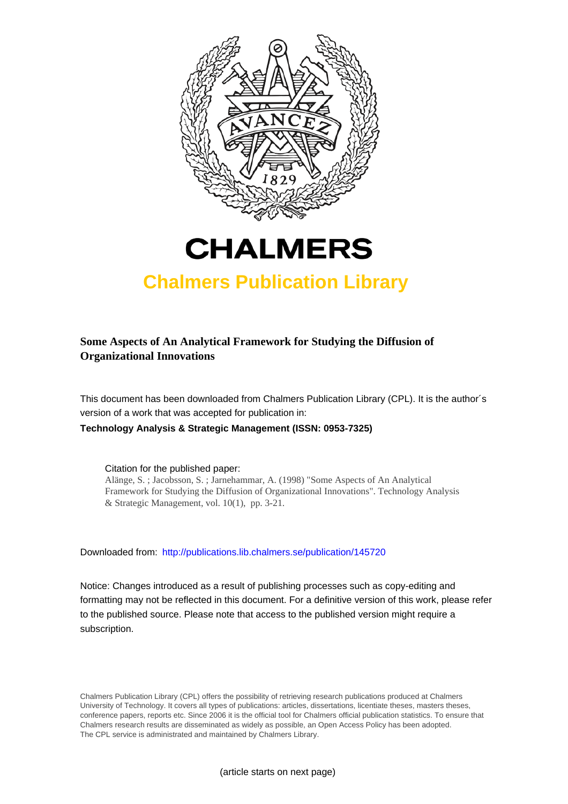



# **Chalmers Publication Library**

# **Some Aspects of An Analytical Framework for Studying the Diffusion of Organizational Innovations**

This document has been downloaded from Chalmers Publication Library (CPL). It is the author´s version of a work that was accepted for publication in:

**Technology Analysis & Strategic Management (ISSN: 0953-7325)**

Citation for the published paper:

Alänge, S. ; Jacobsson, S. ; Jarnehammar, A. (1998) "Some Aspects of An Analytical Framework for Studying the Diffusion of Organizational Innovations". Technology Analysis & Strategic Management, vol. 10(1), pp. 3-21.

Downloaded from: <http://publications.lib.chalmers.se/publication/145720>

Notice: Changes introduced as a result of publishing processes such as copy-editing and formatting may not be reflected in this document. For a definitive version of this work, please refer to the published source. Please note that access to the published version might require a subscription.

Chalmers Publication Library (CPL) offers the possibility of retrieving research publications produced at Chalmers University of Technology. It covers all types of publications: articles, dissertations, licentiate theses, masters theses, conference papers, reports etc. Since 2006 it is the official tool for Chalmers official publication statistics. To ensure that Chalmers research results are disseminated as widely as possible, an Open Access Policy has been adopted. The CPL service is administrated and maintained by Chalmers Library.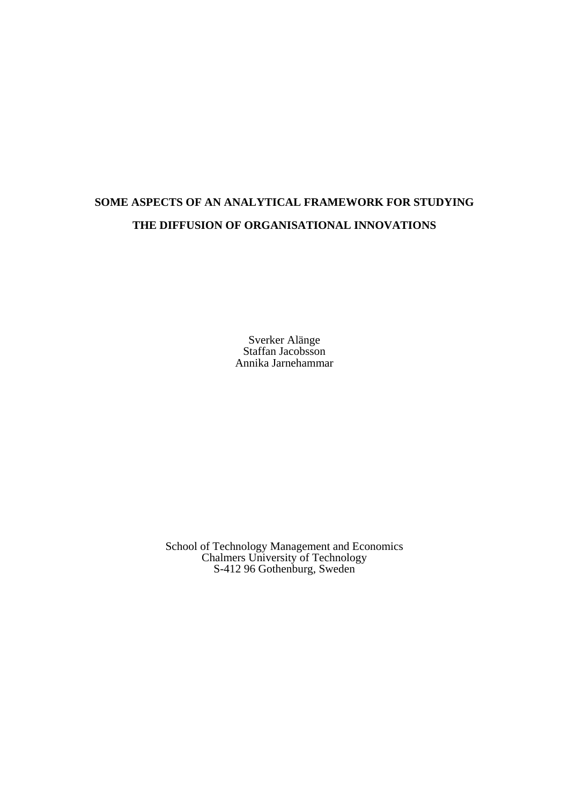# **SOME ASPECTS OF AN ANALYTICAL FRAMEWORK FOR STUDYING THE DIFFUSION OF ORGANISATIONAL INNOVATIONS**

Sverker Alänge Staffan Jacobsson Annika Jarnehammar

School of Technology Management and Economics Chalmers University of Technology S-412 96 Gothenburg, Sweden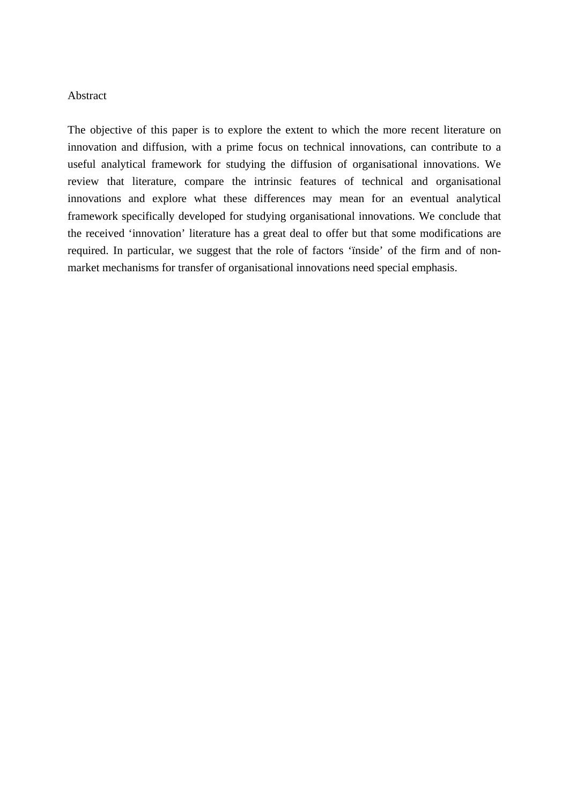### Abstract

The objective of this paper is to explore the extent to which the more recent literature on innovation and diffusion, with a prime focus on technical innovations, can contribute to a useful analytical framework for studying the diffusion of organisational innovations. We review that literature, compare the intrinsic features of technical and organisational innovations and explore what these differences may mean for an eventual analytical framework specifically developed for studying organisational innovations. We conclude that the received 'innovation' literature has a great deal to offer but that some modifications are required. In particular, we suggest that the role of factors 'ïnside' of the firm and of nonmarket mechanisms for transfer of organisational innovations need special emphasis.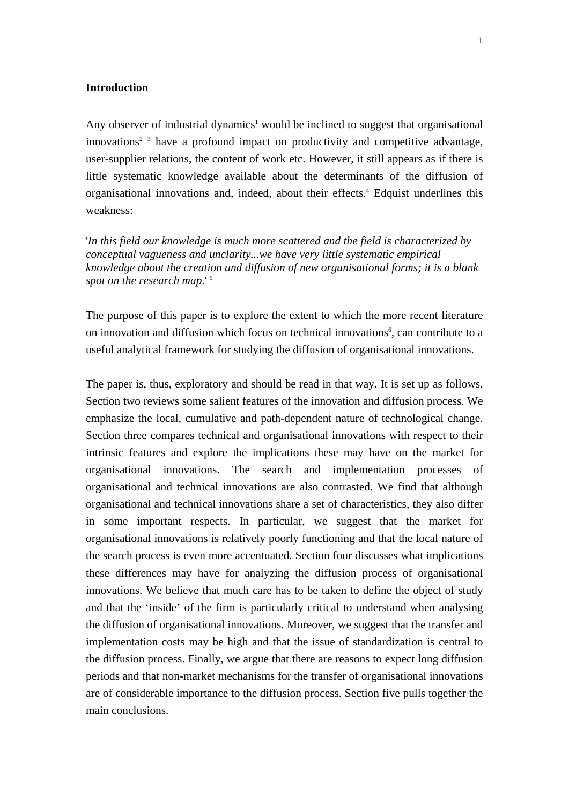### **Introduction**

Any observer of industrial dynamics<sup>1</sup> would be inclined to suggest that organisational innovations<sup>2 3</sup> have a profound impact on productivity and competitive advantage, user-supplier relations, the content of work etc. However, it still appears as if there is little systematic knowledge available about the determinants of the diffusion of organisational innovations and, indeed, about their effects.<sup>4</sup> Edquist underlines this weakness:

'*In this field our knowledge is much more scattered and the field is characterized by conceptual vagueness and unclarity...we have very little systematic empirical knowledge about the creation and diffusion of new organisational forms; it is a blank*  spot on the research map.<sup>15</sup>

The purpose of this paper is to explore the extent to which the more recent literature on innovation and diffusion which focus on technical innovations<sup>6</sup>, can contribute to a useful analytical framework for studying the diffusion of organisational innovations.

The paper is, thus, exploratory and should be read in that way. It is set up as follows. Section two reviews some salient features of the innovation and diffusion process. We emphasize the local, cumulative and path-dependent nature of technological change. Section three compares technical and organisational innovations with respect to their intrinsic features and explore the implications these may have on the market for organisational innovations. The search and implementation processes of organisational and technical innovations are also contrasted. We find that although organisational and technical innovations share a set of characteristics, they also differ in some important respects. In particular, we suggest that the market for organisational innovations is relatively poorly functioning and that the local nature of the search process is even more accentuated. Section four discusses what implications these differences may have for analyzing the diffusion process of organisational innovations. We believe that much care has to be taken to define the object of study and that the 'inside' of the firm is particularly critical to understand when analysing the diffusion of organisational innovations. Moreover, we suggest that the transfer and implementation costs may be high and that the issue of standardization is central to the diffusion process. Finally, we argue that there are reasons to expect long diffusion periods and that non-market mechanisms for the transfer of organisational innovations are of considerable importance to the diffusion process. Section five pulls together the main conclusions.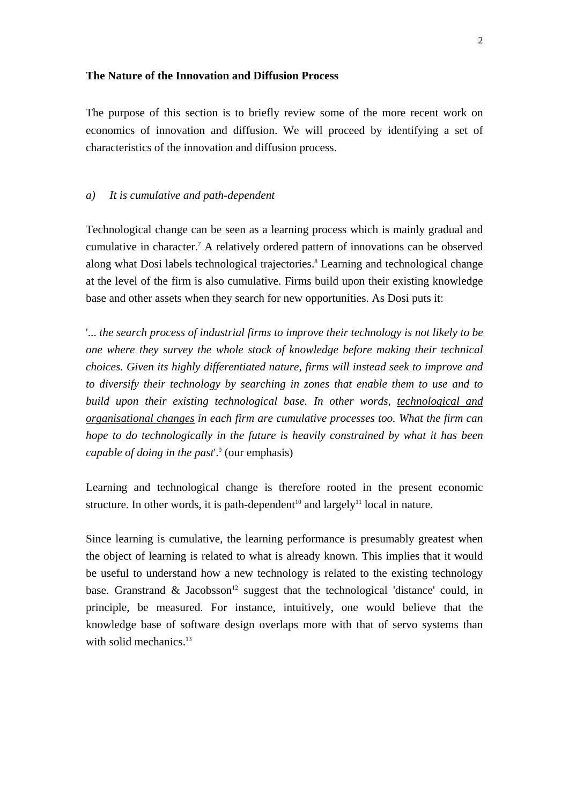#### **The Nature of the Innovation and Diffusion Process**

The purpose of this section is to briefly review some of the more recent work on economics of innovation and diffusion. We will proceed by identifying a set of characteristics of the innovation and diffusion process.

## *a) It is cumulative and path-dependent*

Technological change can be seen as a learning process which is mainly gradual and cumulative in character.<sup>7</sup> A relatively ordered pattern of innovations can be observed along what Dosi labels technological trajectories.<sup>8</sup> Learning and technological change at the level of the firm is also cumulative. Firms build upon their existing knowledge base and other assets when they search for new opportunities. As Dosi puts it:

'... *the search process of industrial firms to improve their technology is not likely to be one where they survey the whole stock of knowledge before making their technical choices. Given its highly differentiated nature, firms will instead seek to improve and to diversify their technology by searching in zones that enable them to use and to build upon their existing technological base. In other words, technological and organisational changes in each firm are cumulative processes too. What the firm can hope to do technologically in the future is heavily constrained by what it has been* capable of doing in the past<sup>o'</sup> (our emphasis)

Learning and technological change is therefore rooted in the present economic structure. In other words, it is path-dependent<sup>10</sup> and largely<sup>11</sup> local in nature.

Since learning is cumulative, the learning performance is presumably greatest when the object of learning is related to what is already known. This implies that it would be useful to understand how a new technology is related to the existing technology base. Granstrand & Jacobsson<sup>12</sup> suggest that the technological 'distance' could, in principle, be measured. For instance, intuitively, one would believe that the knowledge base of software design overlaps more with that of servo systems than with solid mechanics.<sup>13</sup>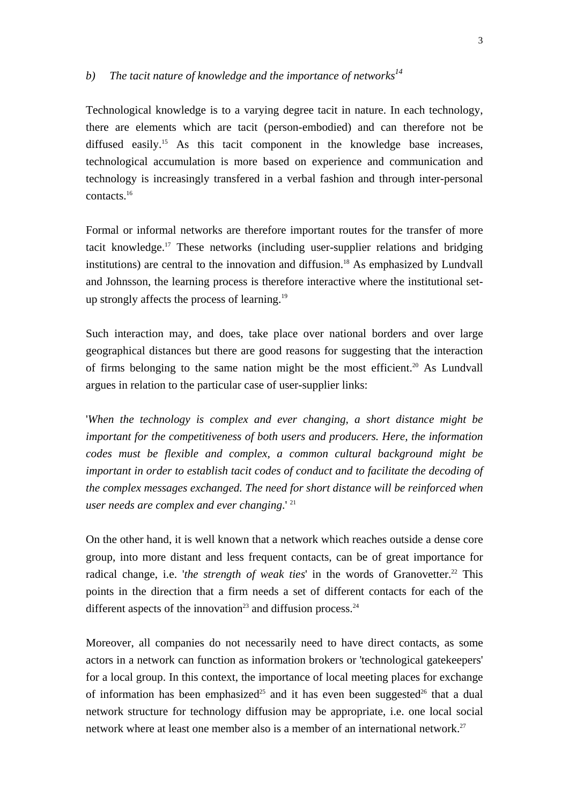# b) The tacit nature of knowledge and the importance of networks<sup>14</sup>

Technological knowledge is to a varying degree tacit in nature. In each technology, there are elements which are tacit (person-embodied) and can therefore not be diffused easily.<sup>15</sup> As this tacit component in the knowledge base increases, technological accumulation is more based on experience and communication and technology is increasingly transfered in a verbal fashion and through inter-personal contacts.16

Formal or informal networks are therefore important routes for the transfer of more tacit knowledge.17 These networks (including user-supplier relations and bridging institutions) are central to the innovation and diffusion.<sup>18</sup> As emphasized by Lundvall and Johnsson, the learning process is therefore interactive where the institutional setup strongly affects the process of learning.19

Such interaction may, and does, take place over national borders and over large geographical distances but there are good reasons for suggesting that the interaction of firms belonging to the same nation might be the most efficient.<sup>20</sup> As Lundvall argues in relation to the particular case of user-supplier links:

'*When the technology is complex and ever changing, a short distance might be important for the competitiveness of both users and producers. Here, the information codes must be flexible and complex, a common cultural background might be important in order to establish tacit codes of conduct and to facilitate the decoding of the complex messages exchanged. The need for short distance will be reinforced when user needs are complex and ever changing*.' 21

On the other hand, it is well known that a network which reaches outside a dense core group, into more distant and less frequent contacts, can be of great importance for radical change, i.e. 'the strength of weak ties' in the words of Granovetter.<sup>22</sup> This points in the direction that a firm needs a set of different contacts for each of the different aspects of the innovation<sup>23</sup> and diffusion process.<sup>24</sup>

Moreover, all companies do not necessarily need to have direct contacts, as some actors in a network can function as information brokers or 'technological gatekeepers' for a local group. In this context, the importance of local meeting places for exchange of information has been emphasized<sup>25</sup> and it has even been suggested<sup>26</sup> that a dual network structure for technology diffusion may be appropriate, i.e. one local social network where at least one member also is a member of an international network.<sup>27</sup>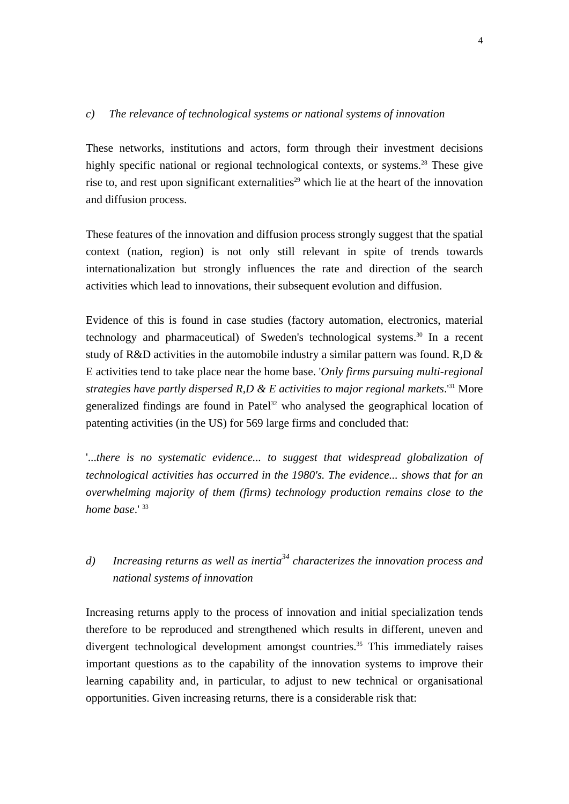## *c) The relevance of technological systems or national systems of innovation*

These networks, institutions and actors, form through their investment decisions highly specific national or regional technological contexts, or systems.<sup>28</sup> These give rise to, and rest upon significant externalities<sup>29</sup> which lie at the heart of the innovation and diffusion process.

These features of the innovation and diffusion process strongly suggest that the spatial context (nation, region) is not only still relevant in spite of trends towards internationalization but strongly influences the rate and direction of the search activities which lead to innovations, their subsequent evolution and diffusion.

Evidence of this is found in case studies (factory automation, electronics, material technology and pharmaceutical) of Sweden's technological systems.<sup>30</sup> In a recent study of R&D activities in the automobile industry a similar pattern was found. R,D & E activities tend to take place near the home base. '*Only firms pursuing multi-regional strategies have partly dispersed R,D & E activities to major regional markets*.'31 More generalized findings are found in Patel<sup>32</sup> who analysed the geographical location of patenting activities (in the US) for 569 large firms and concluded that:

'...*there is no systematic evidence... to suggest that widespread globalization of technological activities has occurred in the 1980's. The evidence... shows that for an overwhelming majority of them (firms) technology production remains close to the home base*.' 33

# *d) Increasing returns as well as inertia34 characterizes the innovation process and national systems of innovation*

Increasing returns apply to the process of innovation and initial specialization tends therefore to be reproduced and strengthened which results in different, uneven and divergent technological development amongst countries.<sup>35</sup> This immediately raises important questions as to the capability of the innovation systems to improve their learning capability and, in particular, to adjust to new technical or organisational opportunities. Given increasing returns, there is a considerable risk that: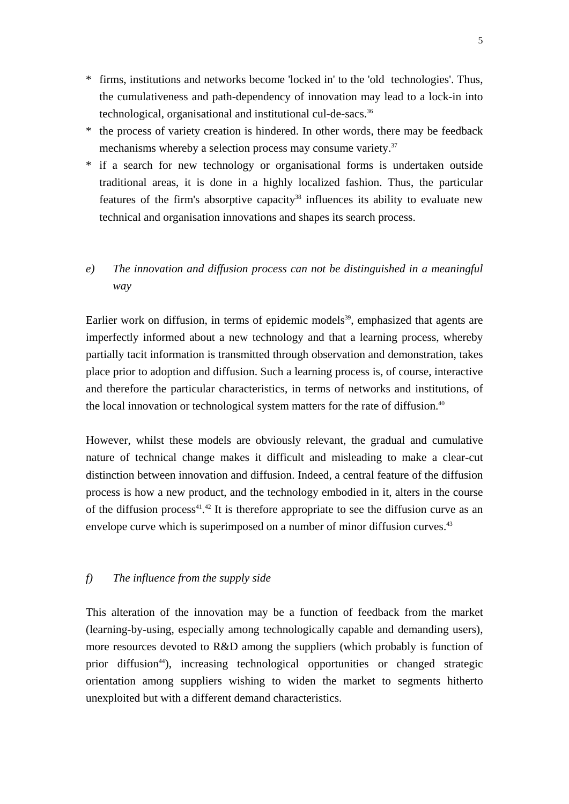- \* firms, institutions and networks become 'locked in' to the 'old technologies'. Thus, the cumulativeness and path-dependency of innovation may lead to a lock-in into technological, organisational and institutional cul-de-sacs.<sup>36</sup>
- \* the process of variety creation is hindered. In other words, there may be feedback mechanisms whereby a selection process may consume variety.<sup>37</sup>
- \* if a search for new technology or organisational forms is undertaken outside traditional areas, it is done in a highly localized fashion. Thus, the particular features of the firm's absorptive capacity<sup>38</sup> influences its ability to evaluate new technical and organisation innovations and shapes its search process.

# *e) The innovation and diffusion process can not be distinguished in a meaningful way*

Earlier work on diffusion, in terms of epidemic models<sup>39</sup>, emphasized that agents are imperfectly informed about a new technology and that a learning process, whereby partially tacit information is transmitted through observation and demonstration, takes place prior to adoption and diffusion. Such a learning process is, of course, interactive and therefore the particular characteristics, in terms of networks and institutions, of the local innovation or technological system matters for the rate of diffusion.<sup>40</sup>

However, whilst these models are obviously relevant, the gradual and cumulative nature of technical change makes it difficult and misleading to make a clear-cut distinction between innovation and diffusion. Indeed, a central feature of the diffusion process is how a new product, and the technology embodied in it, alters in the course of the diffusion process<sup>41</sup>.<sup>42</sup> It is therefore appropriate to see the diffusion curve as an envelope curve which is superimposed on a number of minor diffusion curves.<sup>43</sup>

## *f) The influence from the supply side*

This alteration of the innovation may be a function of feedback from the market (learning-by-using, especially among technologically capable and demanding users), more resources devoted to R&D among the suppliers (which probably is function of prior diffusion44), increasing technological opportunities or changed strategic orientation among suppliers wishing to widen the market to segments hitherto unexploited but with a different demand characteristics.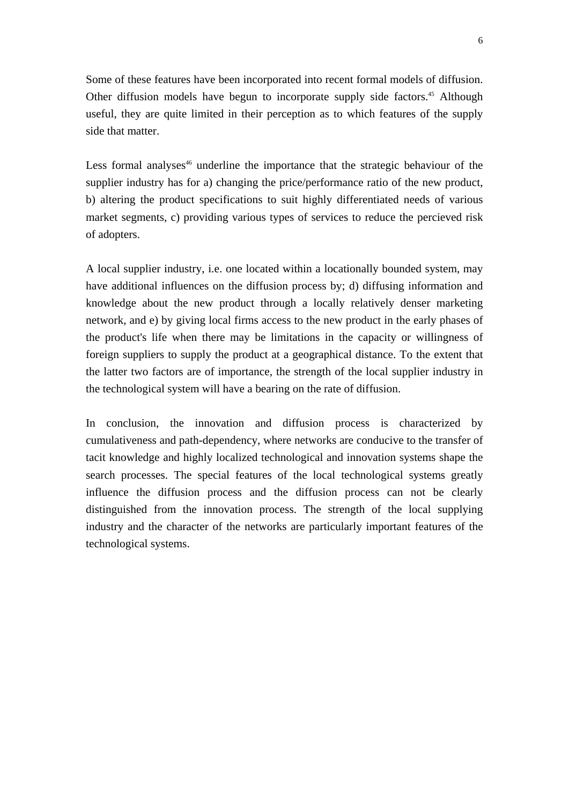Some of these features have been incorporated into recent formal models of diffusion. Other diffusion models have begun to incorporate supply side factors.<sup>45</sup> Although useful, they are quite limited in their perception as to which features of the supply side that matter.

Less formal analyses<sup> $46$ </sup> underline the importance that the strategic behaviour of the supplier industry has for a) changing the price/performance ratio of the new product, b) altering the product specifications to suit highly differentiated needs of various market segments, c) providing various types of services to reduce the percieved risk of adopters.

A local supplier industry, i.e. one located within a locationally bounded system, may have additional influences on the diffusion process by; d) diffusing information and knowledge about the new product through a locally relatively denser marketing network, and e) by giving local firms access to the new product in the early phases of the product's life when there may be limitations in the capacity or willingness of foreign suppliers to supply the product at a geographical distance. To the extent that the latter two factors are of importance, the strength of the local supplier industry in the technological system will have a bearing on the rate of diffusion.

In conclusion, the innovation and diffusion process is characterized by cumulativeness and path-dependency, where networks are conducive to the transfer of tacit knowledge and highly localized technological and innovation systems shape the search processes. The special features of the local technological systems greatly influence the diffusion process and the diffusion process can not be clearly distinguished from the innovation process. The strength of the local supplying industry and the character of the networks are particularly important features of the technological systems.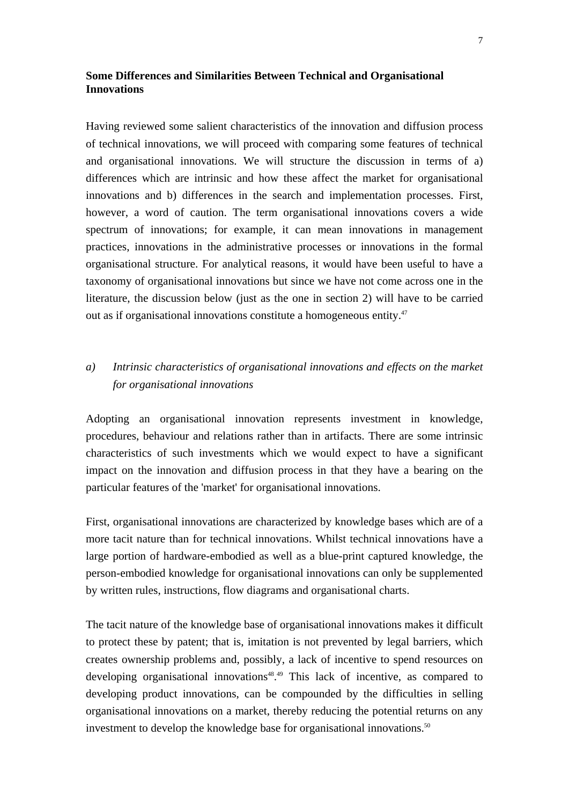# **Some Differences and Similarities Between Technical and Organisational Innovations**

Having reviewed some salient characteristics of the innovation and diffusion process of technical innovations, we will proceed with comparing some features of technical and organisational innovations. We will structure the discussion in terms of a) differences which are intrinsic and how these affect the market for organisational innovations and b) differences in the search and implementation processes. First, however, a word of caution. The term organisational innovations covers a wide spectrum of innovations; for example, it can mean innovations in management practices, innovations in the administrative processes or innovations in the formal organisational structure. For analytical reasons, it would have been useful to have a taxonomy of organisational innovations but since we have not come across one in the literature, the discussion below (just as the one in section 2) will have to be carried out as if organisational innovations constitute a homogeneous entity.47

# *a) Intrinsic characteristics of organisational innovations and effects on the market for organisational innovations*

Adopting an organisational innovation represents investment in knowledge, procedures, behaviour and relations rather than in artifacts. There are some intrinsic characteristics of such investments which we would expect to have a significant impact on the innovation and diffusion process in that they have a bearing on the particular features of the 'market' for organisational innovations.

First, organisational innovations are characterized by knowledge bases which are of a more tacit nature than for technical innovations. Whilst technical innovations have a large portion of hardware-embodied as well as a blue-print captured knowledge, the person-embodied knowledge for organisational innovations can only be supplemented by written rules, instructions, flow diagrams and organisational charts.

The tacit nature of the knowledge base of organisational innovations makes it difficult to protect these by patent; that is, imitation is not prevented by legal barriers, which creates ownership problems and, possibly, a lack of incentive to spend resources on developing organisational innovations<sup>48</sup>.<sup>49</sup> This lack of incentive, as compared to developing product innovations, can be compounded by the difficulties in selling organisational innovations on a market, thereby reducing the potential returns on any investment to develop the knowledge base for organisational innovations.<sup>50</sup>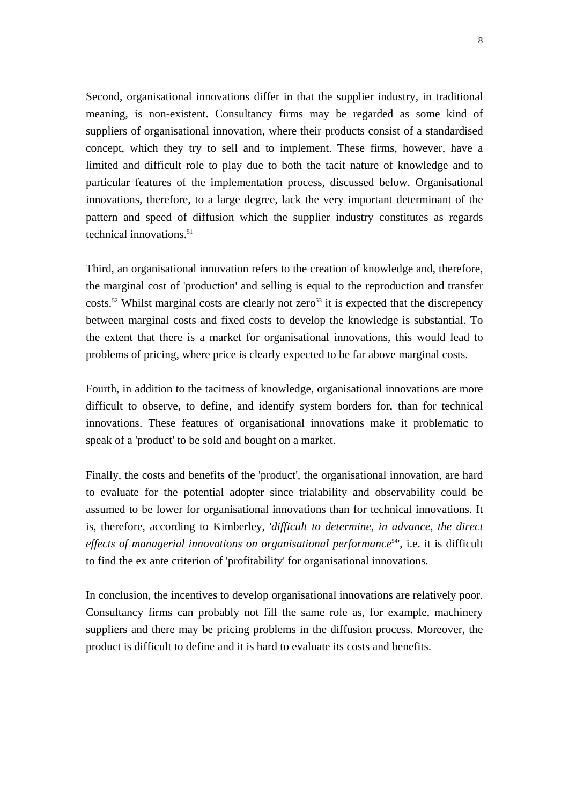Second, organisational innovations differ in that the supplier industry, in traditional meaning, is non-existent. Consultancy firms may be regarded as some kind of suppliers of organisational innovation, where their products consist of a standardised concept, which they try to sell and to implement. These firms, however, have a limited and difficult role to play due to both the tacit nature of knowledge and to particular features of the implementation process, discussed below. Organisational innovations, therefore, to a large degree, lack the very important determinant of the pattern and speed of diffusion which the supplier industry constitutes as regards technical innovations. $51$ 

Third, an organisational innovation refers to the creation of knowledge and, therefore, the marginal cost of 'production' and selling is equal to the reproduction and transfer costs.<sup>52</sup> Whilst marginal costs are clearly not zero<sup>53</sup> it is expected that the discrepency between marginal costs and fixed costs to develop the knowledge is substantial. To the extent that there is a market for organisational innovations, this would lead to problems of pricing, where price is clearly expected to be far above marginal costs.

Fourth, in addition to the tacitness of knowledge, organisational innovations are more difficult to observe, to define, and identify system borders for, than for technical innovations. These features of organisational innovations make it problematic to speak of a 'product' to be sold and bought on a market.

Finally, the costs and benefits of the 'product', the organisational innovation, are hard to evaluate for the potential adopter since trialability and observability could be assumed to be lower for organisational innovations than for technical innovations. It is, therefore, according to Kimberley, '*difficult to determine, in advance, the direct*  effects of managerial innovations on organisational performance<sup>54</sup>', i.e. it is difficult to find the ex ante criterion of 'profitability' for organisational innovations.

In conclusion, the incentives to develop organisational innovations are relatively poor. Consultancy firms can probably not fill the same role as, for example, machinery suppliers and there may be pricing problems in the diffusion process. Moreover, the product is difficult to define and it is hard to evaluate its costs and benefits.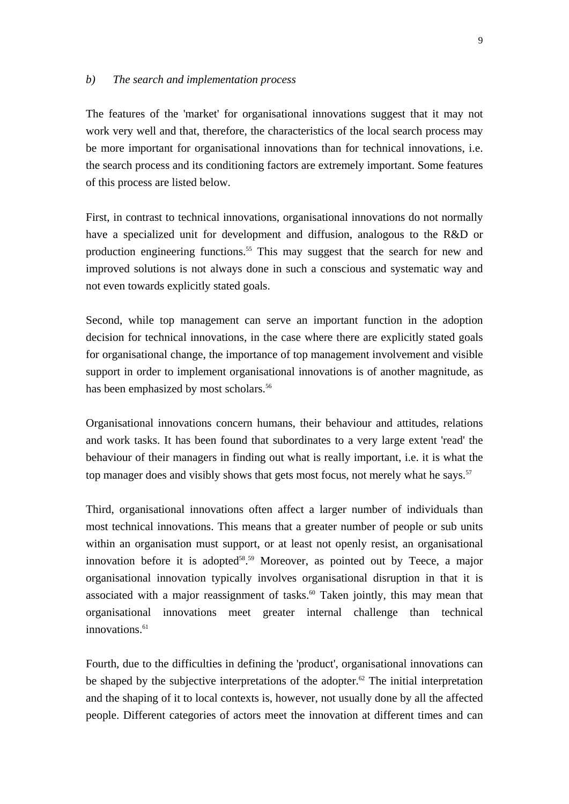#### *b) The search and implementation process*

The features of the 'market' for organisational innovations suggest that it may not work very well and that, therefore, the characteristics of the local search process may be more important for organisational innovations than for technical innovations, i.e. the search process and its conditioning factors are extremely important. Some features of this process are listed below.

First, in contrast to technical innovations, organisational innovations do not normally have a specialized unit for development and diffusion, analogous to the R&D or production engineering functions.55 This may suggest that the search for new and improved solutions is not always done in such a conscious and systematic way and not even towards explicitly stated goals.

Second, while top management can serve an important function in the adoption decision for technical innovations, in the case where there are explicitly stated goals for organisational change, the importance of top management involvement and visible support in order to implement organisational innovations is of another magnitude, as has been emphasized by most scholars.<sup>56</sup>

Organisational innovations concern humans, their behaviour and attitudes, relations and work tasks. It has been found that subordinates to a very large extent 'read' the behaviour of their managers in finding out what is really important, i.e. it is what the top manager does and visibly shows that gets most focus, not merely what he says.<sup>57</sup>

Third, organisational innovations often affect a larger number of individuals than most technical innovations. This means that a greater number of people or sub units within an organisation must support, or at least not openly resist, an organisational innovation before it is adopted<sup>58, 59</sup> Moreover, as pointed out by Teece, a major organisational innovation typically involves organisational disruption in that it is associated with a major reassignment of tasks.<sup>60</sup> Taken jointly, this may mean that organisational innovations meet greater internal challenge than technical innovations.<sup>61</sup>

Fourth, due to the difficulties in defining the 'product', organisational innovations can be shaped by the subjective interpretations of the adopter.<sup>62</sup> The initial interpretation and the shaping of it to local contexts is, however, not usually done by all the affected people. Different categories of actors meet the innovation at different times and can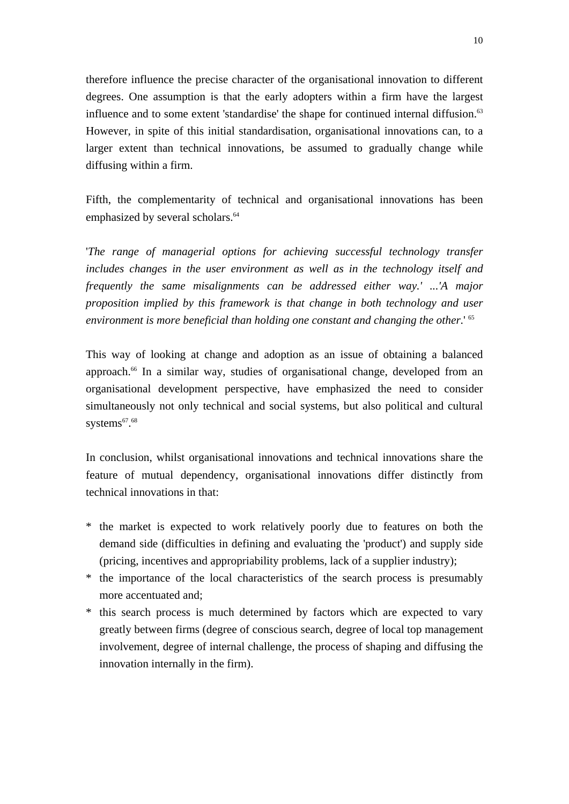therefore influence the precise character of the organisational innovation to different degrees. One assumption is that the early adopters within a firm have the largest influence and to some extent 'standardise' the shape for continued internal diffusion.<sup>63</sup> However, in spite of this initial standardisation, organisational innovations can, to a larger extent than technical innovations, be assumed to gradually change while diffusing within a firm.

Fifth, the complementarity of technical and organisational innovations has been emphasized by several scholars.<sup>64</sup>

'*The range of managerial options for achieving successful technology transfer includes changes in the user environment as well as in the technology itself and frequently the same misalignments can be addressed either way.' ...'A major proposition implied by this framework is that change in both technology and user environment is more beneficial than holding one constant and changing the other*.' 65

This way of looking at change and adoption as an issue of obtaining a balanced approach.<sup>66</sup> In a similar way, studies of organisational change, developed from an organisational development perspective, have emphasized the need to consider simultaneously not only technical and social systems, but also political and cultural systems<sup>67</sup>.<sup>68</sup>

In conclusion, whilst organisational innovations and technical innovations share the feature of mutual dependency, organisational innovations differ distinctly from technical innovations in that:

- \* the market is expected to work relatively poorly due to features on both the demand side (difficulties in defining and evaluating the 'product') and supply side (pricing, incentives and appropriability problems, lack of a supplier industry);
- \* the importance of the local characteristics of the search process is presumably more accentuated and;
- \* this search process is much determined by factors which are expected to vary greatly between firms (degree of conscious search, degree of local top management involvement, degree of internal challenge, the process of shaping and diffusing the innovation internally in the firm).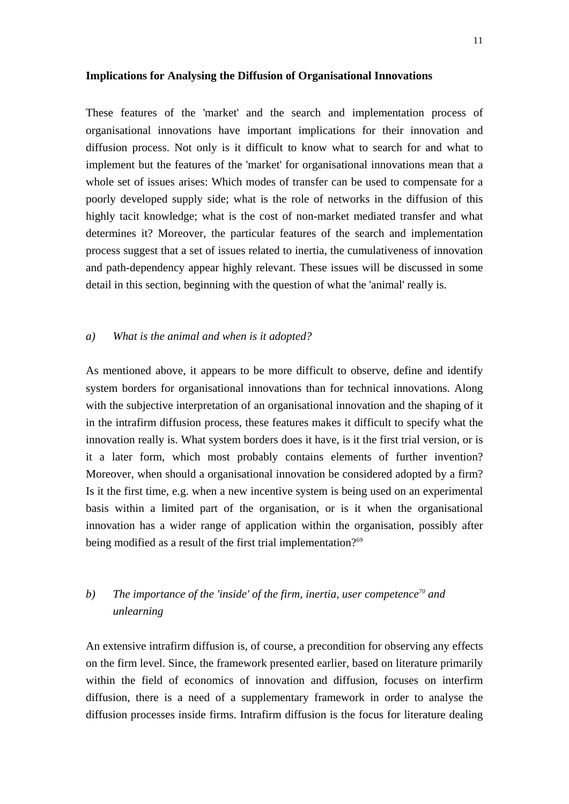#### **Implications for Analysing the Diffusion of Organisational Innovations**

These features of the 'market' and the search and implementation process of organisational innovations have important implications for their innovation and diffusion process. Not only is it difficult to know what to search for and what to implement but the features of the 'market' for organisational innovations mean that a whole set of issues arises: Which modes of transfer can be used to compensate for a poorly developed supply side; what is the role of networks in the diffusion of this highly tacit knowledge; what is the cost of non-market mediated transfer and what determines it? Moreover, the particular features of the search and implementation process suggest that a set of issues related to inertia, the cumulativeness of innovation and path-dependency appear highly relevant. These issues will be discussed in some detail in this section, beginning with the question of what the 'animal' really is.

## *a) What is the animal and when is it adopted?*

As mentioned above, it appears to be more difficult to observe, define and identify system borders for organisational innovations than for technical innovations. Along with the subjective interpretation of an organisational innovation and the shaping of it in the intrafirm diffusion process, these features makes it difficult to specify what the innovation really is. What system borders does it have, is it the first trial version, or is it a later form, which most probably contains elements of further invention? Moreover, when should a organisational innovation be considered adopted by a firm? Is it the first time, e.g. when a new incentive system is being used on an experimental basis within a limited part of the organisation, or is it when the organisational innovation has a wider range of application within the organisation, possibly after being modified as a result of the first trial implementation?<sup>69</sup>

# *b) The importance of the 'inside' of the firm, inertia, user competence70 and unlearning*

An extensive intrafirm diffusion is, of course, a precondition for observing any effects on the firm level. Since, the framework presented earlier, based on literature primarily within the field of economics of innovation and diffusion, focuses on interfirm diffusion, there is a need of a supplementary framework in order to analyse the diffusion processes inside firms. Intrafirm diffusion is the focus for literature dealing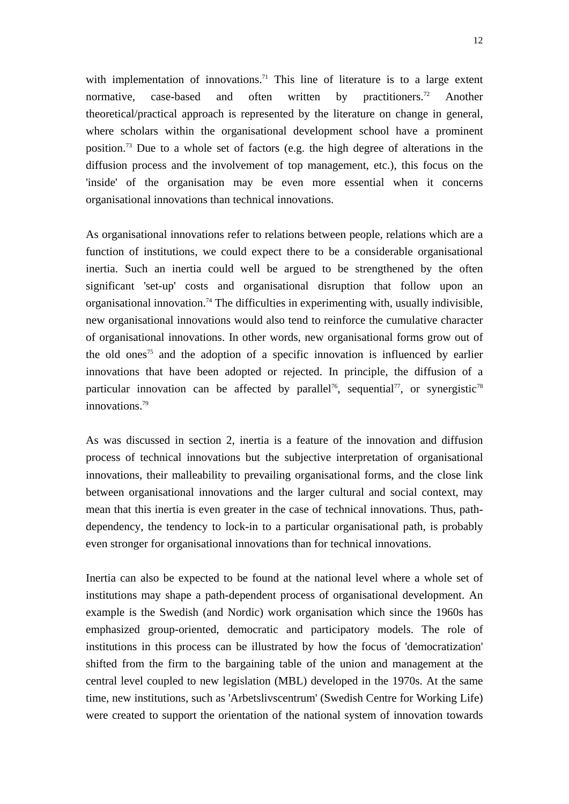with implementation of innovations.<sup>71</sup> This line of literature is to a large extent normative, case-based and often written by practitioners.<sup>72</sup> Another theoretical/practical approach is represented by the literature on change in general, where scholars within the organisational development school have a prominent position.73 Due to a whole set of factors (e.g. the high degree of alterations in the diffusion process and the involvement of top management, etc.), this focus on the 'inside' of the organisation may be even more essential when it concerns organisational innovations than technical innovations.

As organisational innovations refer to relations between people, relations which are a function of institutions, we could expect there to be a considerable organisational inertia. Such an inertia could well be argued to be strengthened by the often significant 'set-up' costs and organisational disruption that follow upon an organisational innovation.<sup>74</sup> The difficulties in experimenting with, usually indivisible, new organisational innovations would also tend to reinforce the cumulative character of organisational innovations. In other words, new organisational forms grow out of the old ones<sup>75</sup> and the adoption of a specific innovation is influenced by earlier innovations that have been adopted or rejected. In principle, the diffusion of a particular innovation can be affected by parallel<sup>76</sup>, sequential<sup>77</sup>, or synergistic<sup>78</sup> innovations.<sup>79</sup>

As was discussed in section 2, inertia is a feature of the innovation and diffusion process of technical innovations but the subjective interpretation of organisational innovations, their malleability to prevailing organisational forms, and the close link between organisational innovations and the larger cultural and social context, may mean that this inertia is even greater in the case of technical innovations. Thus, pathdependency, the tendency to lock-in to a particular organisational path, is probably even stronger for organisational innovations than for technical innovations.

Inertia can also be expected to be found at the national level where a whole set of institutions may shape a path-dependent process of organisational development. An example is the Swedish (and Nordic) work organisation which since the 1960s has emphasized group-oriented, democratic and participatory models. The role of institutions in this process can be illustrated by how the focus of 'democratization' shifted from the firm to the bargaining table of the union and management at the central level coupled to new legislation (MBL) developed in the 1970s. At the same time, new institutions, such as 'Arbetslivscentrum' (Swedish Centre for Working Life) were created to support the orientation of the national system of innovation towards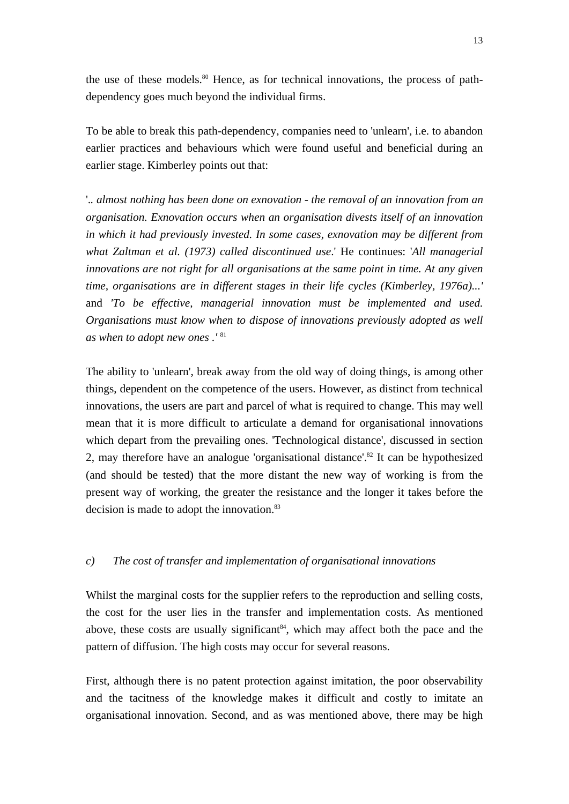the use of these models. $80$  Hence, as for technical innovations, the process of pathdependency goes much beyond the individual firms.

To be able to break this path-dependency, companies need to 'unlearn', i.e. to abandon earlier practices and behaviours which were found useful and beneficial during an earlier stage. Kimberley points out that:

'.*. almost nothing has been done on exnovation - the removal of an innovation from an organisation. Exnovation occurs when an organisation divests itself of an innovation in which it had previously invested. In some cases, exnovation may be different from what Zaltman et al. (1973) called discontinued use*.' He continues: '*All managerial innovations are not right for all organisations at the same point in time. At any given time, organisations are in different stages in their life cycles (Kimberley, 1976a)...'*  and *'To be effective, managerial innovation must be implemented and used. Organisations must know when to dispose of innovations previously adopted as well as when to adopt new ones .'* <sup>81</sup>

The ability to 'unlearn', break away from the old way of doing things, is among other things, dependent on the competence of the users. However, as distinct from technical innovations, the users are part and parcel of what is required to change. This may well mean that it is more difficult to articulate a demand for organisational innovations which depart from the prevailing ones. 'Technological distance', discussed in section 2, may therefore have an analogue 'organisational distance'.82 It can be hypothesized (and should be tested) that the more distant the new way of working is from the present way of working, the greater the resistance and the longer it takes before the decision is made to adopt the innovation.<sup>83</sup>

# *c) The cost of transfer and implementation of organisational innovations*

Whilst the marginal costs for the supplier refers to the reproduction and selling costs, the cost for the user lies in the transfer and implementation costs. As mentioned above, these costs are usually significant<sup>84</sup>, which may affect both the pace and the pattern of diffusion. The high costs may occur for several reasons.

First, although there is no patent protection against imitation, the poor observability and the tacitness of the knowledge makes it difficult and costly to imitate an organisational innovation. Second, and as was mentioned above, there may be high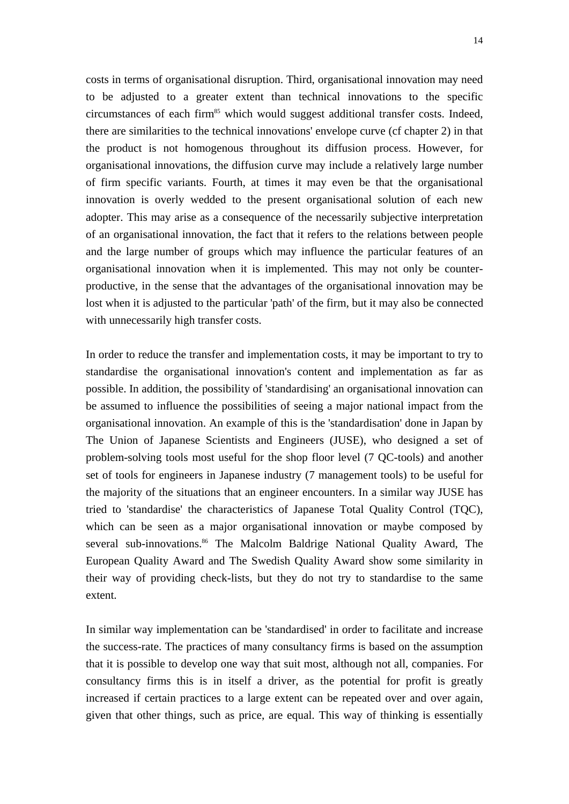costs in terms of organisational disruption. Third, organisational innovation may need to be adjusted to a greater extent than technical innovations to the specific circumstances of each firm<sup>85</sup> which would suggest additional transfer costs. Indeed, there are similarities to the technical innovations' envelope curve (cf chapter 2) in that the product is not homogenous throughout its diffusion process. However, for organisational innovations, the diffusion curve may include a relatively large number of firm specific variants. Fourth, at times it may even be that the organisational innovation is overly wedded to the present organisational solution of each new adopter. This may arise as a consequence of the necessarily subjective interpretation of an organisational innovation, the fact that it refers to the relations between people and the large number of groups which may influence the particular features of an organisational innovation when it is implemented. This may not only be counterproductive, in the sense that the advantages of the organisational innovation may be lost when it is adjusted to the particular 'path' of the firm, but it may also be connected with unnecessarily high transfer costs.

In order to reduce the transfer and implementation costs, it may be important to try to standardise the organisational innovation's content and implementation as far as possible. In addition, the possibility of 'standardising' an organisational innovation can be assumed to influence the possibilities of seeing a major national impact from the organisational innovation. An example of this is the 'standardisation' done in Japan by The Union of Japanese Scientists and Engineers (JUSE), who designed a set of problem-solving tools most useful for the shop floor level (7 QC-tools) and another set of tools for engineers in Japanese industry (7 management tools) to be useful for the majority of the situations that an engineer encounters. In a similar way JUSE has tried to 'standardise' the characteristics of Japanese Total Quality Control (TQC), which can be seen as a major organisational innovation or maybe composed by several sub-innovations.<sup>86</sup> The Malcolm Baldrige National Quality Award, The European Quality Award and The Swedish Quality Award show some similarity in their way of providing check-lists, but they do not try to standardise to the same extent.

In similar way implementation can be 'standardised' in order to facilitate and increase the success-rate. The practices of many consultancy firms is based on the assumption that it is possible to develop one way that suit most, although not all, companies. For consultancy firms this is in itself a driver, as the potential for profit is greatly increased if certain practices to a large extent can be repeated over and over again, given that other things, such as price, are equal. This way of thinking is essentially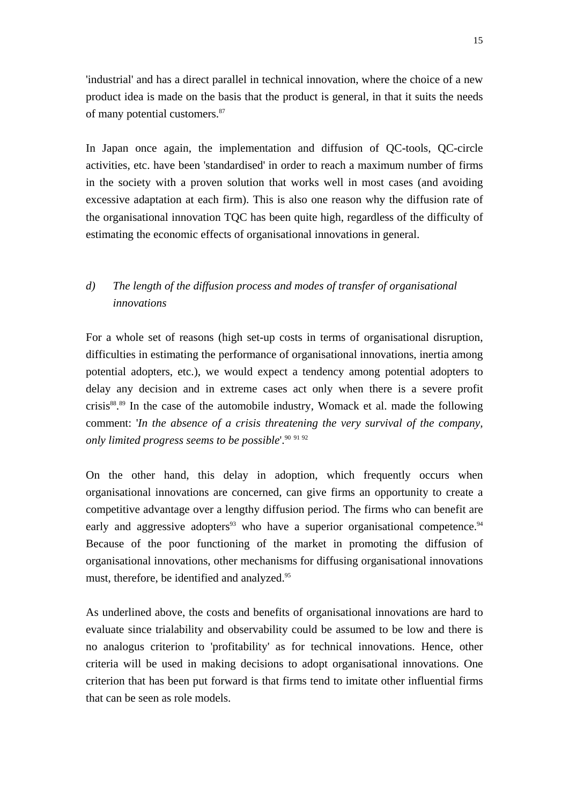'industrial' and has a direct parallel in technical innovation, where the choice of a new product idea is made on the basis that the product is general, in that it suits the needs of many potential customers.87

In Japan once again, the implementation and diffusion of QC-tools, QC-circle activities, etc. have been 'standardised' in order to reach a maximum number of firms in the society with a proven solution that works well in most cases (and avoiding excessive adaptation at each firm). This is also one reason why the diffusion rate of the organisational innovation TQC has been quite high, regardless of the difficulty of estimating the economic effects of organisational innovations in general.

# *d) The length of the diffusion process and modes of transfer of organisational innovations*

For a whole set of reasons (high set-up costs in terms of organisational disruption, difficulties in estimating the performance of organisational innovations, inertia among potential adopters, etc.), we would expect a tendency among potential adopters to delay any decision and in extreme cases act only when there is a severe profit crisis<sup>88, 89</sup> In the case of the automobile industry, Womack et al. made the following comment: '*In the absence of a crisis threatening the very survival of the company, only limited progress seems to be possible*'.90 <sup>91</sup> <sup>92</sup>

On the other hand, this delay in adoption, which frequently occurs when organisational innovations are concerned, can give firms an opportunity to create a competitive advantage over a lengthy diffusion period. The firms who can benefit are early and aggressive adopters<sup>93</sup> who have a superior organisational competence.<sup>94</sup> Because of the poor functioning of the market in promoting the diffusion of organisational innovations, other mechanisms for diffusing organisational innovations must, therefore, be identified and analyzed.<sup>95</sup>

As underlined above, the costs and benefits of organisational innovations are hard to evaluate since trialability and observability could be assumed to be low and there is no analogus criterion to 'profitability' as for technical innovations. Hence, other criteria will be used in making decisions to adopt organisational innovations. One criterion that has been put forward is that firms tend to imitate other influential firms that can be seen as role models.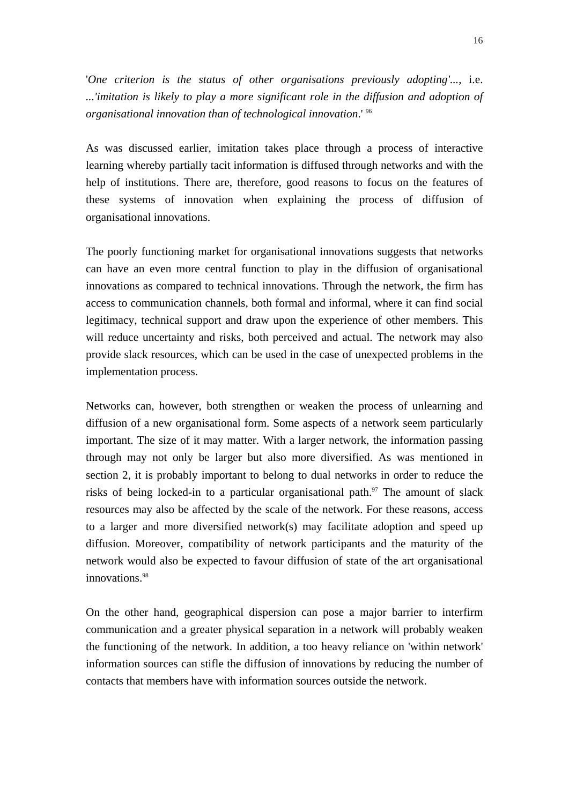'*One criterion is the status of other organisations previously adopting'...*, i.e. *...'imitation is likely to play a more significant role in the diffusion and adoption of organisational innovation than of technological innovation*.' 96

As was discussed earlier, imitation takes place through a process of interactive learning whereby partially tacit information is diffused through networks and with the help of institutions. There are, therefore, good reasons to focus on the features of these systems of innovation when explaining the process of diffusion of organisational innovations.

The poorly functioning market for organisational innovations suggests that networks can have an even more central function to play in the diffusion of organisational innovations as compared to technical innovations. Through the network, the firm has access to communication channels, both formal and informal, where it can find social legitimacy, technical support and draw upon the experience of other members. This will reduce uncertainty and risks, both perceived and actual. The network may also provide slack resources, which can be used in the case of unexpected problems in the implementation process.

Networks can, however, both strengthen or weaken the process of unlearning and diffusion of a new organisational form. Some aspects of a network seem particularly important. The size of it may matter. With a larger network, the information passing through may not only be larger but also more diversified. As was mentioned in section 2, it is probably important to belong to dual networks in order to reduce the risks of being locked-in to a particular organisational path.<sup>97</sup> The amount of slack resources may also be affected by the scale of the network. For these reasons, access to a larger and more diversified network(s) may facilitate adoption and speed up diffusion. Moreover, compatibility of network participants and the maturity of the network would also be expected to favour diffusion of state of the art organisational innovations.<sup>98</sup>

On the other hand, geographical dispersion can pose a major barrier to interfirm communication and a greater physical separation in a network will probably weaken the functioning of the network. In addition, a too heavy reliance on 'within network' information sources can stifle the diffusion of innovations by reducing the number of contacts that members have with information sources outside the network.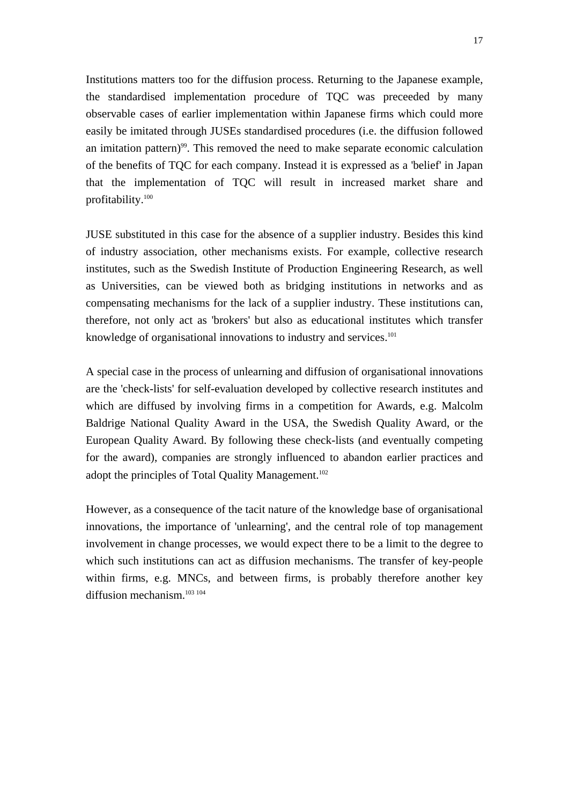Institutions matters too for the diffusion process. Returning to the Japanese example, the standardised implementation procedure of TQC was preceeded by many observable cases of earlier implementation within Japanese firms which could more easily be imitated through JUSEs standardised procedures (i.e. the diffusion followed an imitation pattern)<sup>99</sup>. This removed the need to make separate economic calculation of the benefits of TQC for each company. Instead it is expressed as a 'belief' in Japan that the implementation of TQC will result in increased market share and profitability.100

JUSE substituted in this case for the absence of a supplier industry. Besides this kind of industry association, other mechanisms exists. For example, collective research institutes, such as the Swedish Institute of Production Engineering Research, as well as Universities, can be viewed both as bridging institutions in networks and as compensating mechanisms for the lack of a supplier industry. These institutions can, therefore, not only act as 'brokers' but also as educational institutes which transfer knowledge of organisational innovations to industry and services.<sup>101</sup>

A special case in the process of unlearning and diffusion of organisational innovations are the 'check-lists' for self-evaluation developed by collective research institutes and which are diffused by involving firms in a competition for Awards, e.g. Malcolm Baldrige National Quality Award in the USA, the Swedish Quality Award, or the European Quality Award. By following these check-lists (and eventually competing for the award), companies are strongly influenced to abandon earlier practices and adopt the principles of Total Quality Management.<sup>102</sup>

However, as a consequence of the tacit nature of the knowledge base of organisational innovations, the importance of 'unlearning', and the central role of top management involvement in change processes, we would expect there to be a limit to the degree to which such institutions can act as diffusion mechanisms. The transfer of key-people within firms, e.g. MNCs, and between firms, is probably therefore another key diffusion mechanism.<sup>103 104</sup>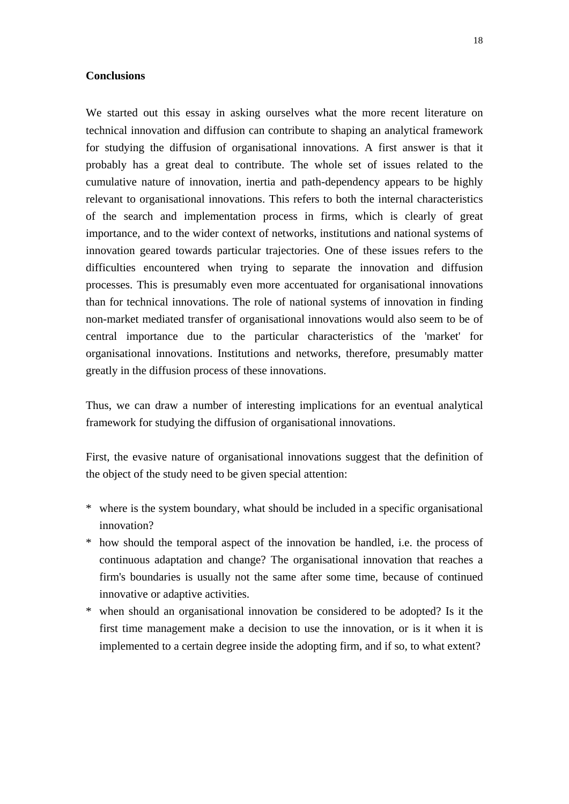### **Conclusions**

We started out this essay in asking ourselves what the more recent literature on technical innovation and diffusion can contribute to shaping an analytical framework for studying the diffusion of organisational innovations. A first answer is that it probably has a great deal to contribute. The whole set of issues related to the cumulative nature of innovation, inertia and path-dependency appears to be highly relevant to organisational innovations. This refers to both the internal characteristics of the search and implementation process in firms, which is clearly of great importance, and to the wider context of networks, institutions and national systems of innovation geared towards particular trajectories. One of these issues refers to the difficulties encountered when trying to separate the innovation and diffusion processes. This is presumably even more accentuated for organisational innovations than for technical innovations. The role of national systems of innovation in finding non-market mediated transfer of organisational innovations would also seem to be of central importance due to the particular characteristics of the 'market' for organisational innovations. Institutions and networks, therefore, presumably matter greatly in the diffusion process of these innovations.

Thus, we can draw a number of interesting implications for an eventual analytical framework for studying the diffusion of organisational innovations.

First, the evasive nature of organisational innovations suggest that the definition of the object of the study need to be given special attention:

- \* where is the system boundary, what should be included in a specific organisational innovation?
- \* how should the temporal aspect of the innovation be handled, i.e. the process of continuous adaptation and change? The organisational innovation that reaches a firm's boundaries is usually not the same after some time, because of continued innovative or adaptive activities.
- \* when should an organisational innovation be considered to be adopted? Is it the first time management make a decision to use the innovation, or is it when it is implemented to a certain degree inside the adopting firm, and if so, to what extent?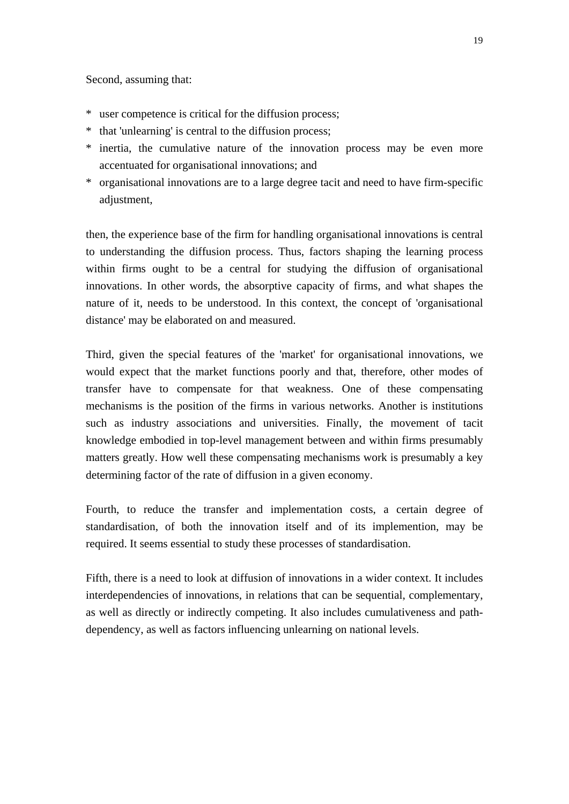Second, assuming that:

- \* user competence is critical for the diffusion process;
- \* that 'unlearning' is central to the diffusion process;
- \* inertia, the cumulative nature of the innovation process may be even more accentuated for organisational innovations; and
- \* organisational innovations are to a large degree tacit and need to have firm-specific adjustment,

then, the experience base of the firm for handling organisational innovations is central to understanding the diffusion process. Thus, factors shaping the learning process within firms ought to be a central for studying the diffusion of organisational innovations. In other words, the absorptive capacity of firms, and what shapes the nature of it, needs to be understood. In this context, the concept of 'organisational distance' may be elaborated on and measured.

Third, given the special features of the 'market' for organisational innovations, we would expect that the market functions poorly and that, therefore, other modes of transfer have to compensate for that weakness. One of these compensating mechanisms is the position of the firms in various networks. Another is institutions such as industry associations and universities. Finally, the movement of tacit knowledge embodied in top-level management between and within firms presumably matters greatly. How well these compensating mechanisms work is presumably a key determining factor of the rate of diffusion in a given economy.

Fourth, to reduce the transfer and implementation costs, a certain degree of standardisation, of both the innovation itself and of its implemention, may be required. It seems essential to study these processes of standardisation.

Fifth, there is a need to look at diffusion of innovations in a wider context. It includes interdependencies of innovations, in relations that can be sequential, complementary, as well as directly or indirectly competing. It also includes cumulativeness and pathdependency, as well as factors influencing unlearning on national levels.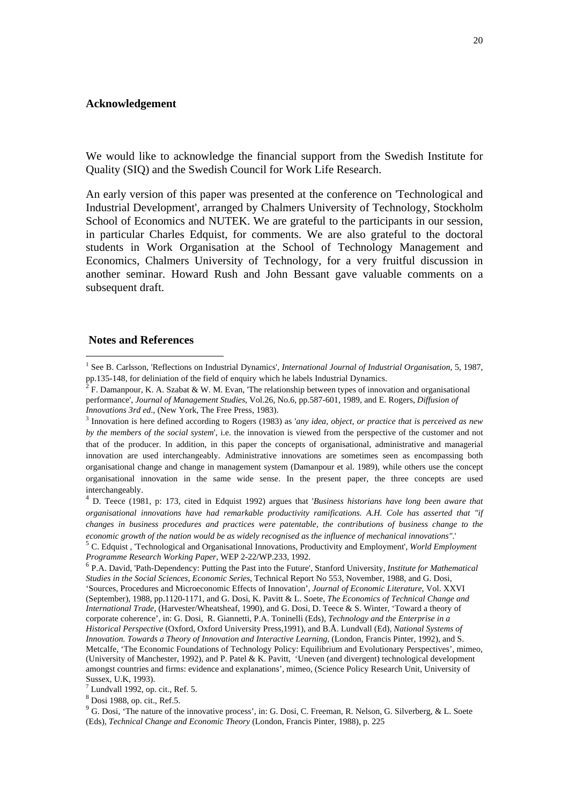### **Acknowledgement**

We would like to acknowledge the financial support from the Swedish Institute for Quality (SIQ) and the Swedish Council for Work Life Research.

An early version of this paper was presented at the conference on 'Technological and Industrial Development', arranged by Chalmers University of Technology, Stockholm School of Economics and NUTEK. We are grateful to the participants in our session, in particular Charles Edquist, for comments. We are also grateful to the doctoral students in Work Organisation at the School of Technology Management and Economics, Chalmers University of Technology, for a very fruitful discussion in another seminar. Howard Rush and John Bessant gave valuable comments on a subsequent draft.

#### **Notes and References**

l

<sup>&</sup>lt;sup>1</sup> See B. Carlsson, 'Reflections on Industrial Dynamics', International Journal of Industrial Organisation, 5, 1987, pp.135-148, for deliniation of the field of enquiry which he labels Industrial Dynamics.

F. Damanpour, K. A. Szabat & W. M. Evan, 'The relationship between types of innovation and organisational performance', *Journal of Management Studies*, Vol.26, No.6, pp.587-601, 1989, and E. Rogers, *Diffusion of Innovations 3rd ed.*, (New York, The Free Press, 1983).

Innovation is here defined according to Rogers (1983) as '*any idea, object, or practice that is perceived as new by the members of the social system*', i.e. the innovation is viewed from the perspective of the customer and not that of the producer. In addition, in this paper the concepts of organisational, administrative and managerial innovation are used interchangeably. Administrative innovations are sometimes seen as encompassing both organisational change and change in management system (Damanpour et al. 1989), while others use the concept organisational innovation in the same wide sense. In the present paper, the three concepts are used interchangeably.

<sup>4</sup> D. Teece (1981, p: 173, cited in Edquist 1992) argues that '*Business historians have long been aware that organisational innovations have had remarkable productivity ramifications. A.H. Cole has asserted that "if changes in business procedures and practices were patentable, the contributions of business change to the*  economic growth of the nation would be as widely recognised as the influence of mechanical innovations".<br><sup>5</sup> C. Edquist, 'Technological and Organisational Innovations, Productivity and Employment', World Employment

*Programme Research Working Paper*, WEP 2-22/WP.233, 1992.

<sup>6</sup> P.A. David, 'Path-Dependency: Putting the Past into the Future', Stanford University, *Institute for Mathematical Studies in the Social Sciences, Economic Series*, Technical Report No 553, November, 1988, and G. Dosi, 'Sources, Procedures and Microeconomic Effects of Innovation'*, Journal of Economic Literature*, Vol. XXVI (September), 1988, pp.1120-1171, and G. Dosi, K. Pavitt & L. Soete, *The Economics of Technical Change and International Trade,* (Harvester/Wheatsheaf, 1990), and G. Dosi, D. Teece & S. Winter, 'Toward a theory of corporate coherence', in: G. Dosi, R. Giannetti, P.A. Toninelli (Eds), *Technology and the Enterprise in a Historical Perspective* (Oxford, Oxford University Press,1991), and B.Å. Lundvall (Ed), *National Systems of Innovation. Towards a Theory of Innovation and Interactive Learning*, (London, Francis Pinter, 1992), and S. Metcalfe, 'The Economic Foundations of Technology Policy: Equilibrium and Evolutionary Perspectives', mimeo, (University of Manchester, 1992), and P. Patel & K. Pavitt, 'Uneven (and divergent) technological development amongst countries and firms: evidence and explanations', mimeo, (Science Policy Research Unit, University of Sussex, U.K, 1993).<br><sup>7</sup> Lundvall 1992, op. cit., Ref. 5.

<sup>8</sup> Dosi 1988, op. cit., Ref.5.

<sup>&</sup>lt;sup>9</sup> G. Dosi, 'The nature of the innovative process', in: G. Dosi, C. Freeman, R. Nelson, G. Silverberg, & L. Soete (Eds), *Technical Change and Economic Theory* (London, Francis Pinter, 1988), p. 225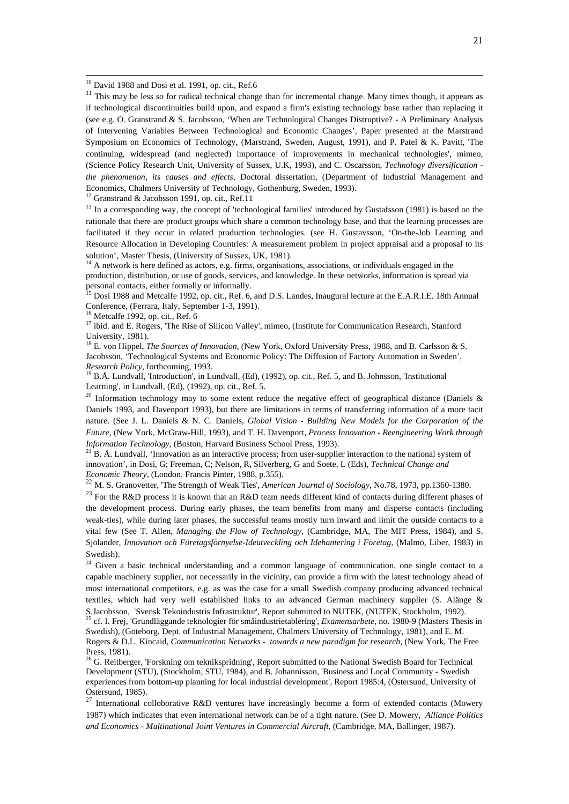$10$  David 1988 and Dosi et al. 1991, op. cit., Ref.6

<sup>11</sup> This may be less so for radical technical change than for incremental change. Many times though, it appears as if technological discontinuities build upon, and expand a firm's existing technology base rather than replacing it (see e.g. O. Granstrand & S. Jacobsson, 'When are Technological Changes Distruptive? - A Preliminary Analysis of Intervening Variables Between Technological and Economic Changes', Paper presented at the Marstrand Symposium on Economics of Technology, (Marstrand, Sweden, August, 1991), and P. Patel & K. Pavitt, 'The continuing, widespread (and neglected) importance of improvements in mechanical technologies', mimeo, (Science Policy Research Unit, University of Sussex, U.K, 1993), and C. Oscarsson*, Technology diversification the phenomenon, its causes and effects*, Doctoral dissertation, (Department of Industrial Management and Economics, Chalmers University of Technology, Gothenburg, Sweden, 1993). 12 Granstrand & Jacobsson 1991, op. cit., Ref.11

<sup>13</sup> In a corresponding way, the concept of 'technological families' introduced by Gustafsson (1981) is based on the rationale that there are product groups which share a common technology base, and that the learning processes are facilitated if they occur in related production technologies. (see H. Gustavsson, 'On-the-Job Learning and Resource Allocation in Developing Countries: A measurement problem in project appraisal and a proposal to its solution', Master Thesis, (University of Sussex, UK, 1981).

<sup>14</sup> A network is here defined as actors, e.g. firms, organisations, associations, or individuals engaged in the production, distribution, or use of goods, services, and knowledge. In these networks, information is spread via personal contacts, either formally or informally.

<sup>15</sup> Dosi 1988 and Metcalfe 1992, op. cit., Ref. 6, and D.S. Landes, Inaugural lecture at the E.A.R.I.E. 18th Annual Conference, (Ferrara, Italy, September 1-3, 1991).

<sup>16</sup> Metcalfe 1992, op. cit., Ref. 6

<sup>17</sup> ibid. and E. Rogers, 'The Rise of Silicon Valley', mimeo, (Institute for Communication Research, Stanford University, 1981).

18 E. von Hippel, *The Sources of Innovation*, (New York, Oxford University Press, 1988, and B. Carlsson & S. Jacobsson, 'Technological Systems and Economic Policy: The Diffusion of Factory Automation in Sweden', *Research Policy*, forthcoming, 1993.<br><sup>19</sup> B.Å. Lundvall, 'Introduction', in Lundvall, (Ed), (1992), op. cit., Ref. 5, and B. Johnsson, 'Institutional

Learning', in Lundvall, (Ed), (1992), op. cit., Ref. 5.

<sup>20</sup> Information technology may to some extent reduce the negative effect of geographical distance (Daniels & Daniels 1993, and Davenport 1993), but there are limitations in terms of transferring information of a more tacit nature. (See J. L. Daniels & N. C. Daniels, *Global Vision - Building New Models for the Corporation of the Future*, (New York, McGraw-Hill, 1993), and T. H. Davenport, *Process Innovation - Reengineering Work through Information Technology*, (Boston, Harvard Business School Press, 1993).<br><sup>21</sup> B. Å. Lundvall, 'Innovation as an interactive process; from user-supplier interaction to the national system of

innovation', in Dosi, G; Freeman, C; Nelson, R, Silverberg, G and Soete, L (Eds), *Technical Change and Economic Theory*, (London, Francis Pinter, 1988, p.355).<br><sup>22</sup> M. S. Granovetter, 'The Strength of Weak Ties', *American Journal of Sociology*, No.78, 1973, pp.1360-1380.

<sup>23</sup> For the R&D process it is known that an R&D team needs different kind of contacts during different phases of the development process. During early phases, the team benefits from many and disperse contacts (including weak-ties), while during later phases, the successful teams mostly turn inward and limit the outside contacts to a vital few (See T. Allen, *Managing the Flow of Technology*, (Cambridge, MA, The MIT Press, 1984), and S. Sjölander, *Innovation och Företagsförnyelse-Ideutveckling och Idehantering i Företag*, (Malmö, Liber, 1983) in Swedish).

<sup>24</sup> Given a basic technical understanding and a common language of communication, one single contact to a capable machinery supplier, not necessarily in the vicinity, can provide a firm with the latest technology ahead of most international competitors, e.g. as was the case for a small Swedish company producing advanced technical textiles, which had very well established links to an advanced German machinery supplier (S. Alänge & S.Jacobsson, 'Svensk Tekoindustris Infrastruktur', Report submitted to NUTEK, (NUTEK, Stockholm, 1992).<br><sup>25</sup> cf. I. Frei, 'Grundläggande teknologier för småindustrietablering', *Examensarbete*, no. 1980-9 (Masters Thesis i

Swedish), (Göteborg, Dept. of Industrial Management, Chalmers University of Technology, 1981), and E. M. Rogers & D.L. Kincaid, *Communication Networks - towards a new paradigm for research*, (New York, The Free Press, 1981).

<sup>26</sup> G. Reitberger, 'Forskning om teknikspridning', Report submitted to the National Swedish Board for Technical Development (STU), (Stockholm, STU, 1984), and B. Johannisson, 'Business and Local Community - Swedish experiences from bottom-up planning for local industrial development', Report 1985:4, (Östersund, University of Östersund, 1985).

 $27$  International colloborative R&D ventures have increasingly become a form of extended contacts (Mowery 1987) which indicates that even international network can be of a tight nature. (See D. Mowery, *Alliance Politics and Economics - Multinational Joint Ventures in Commercial Aircraft*, (Cambridge, MA, Ballinger, 1987).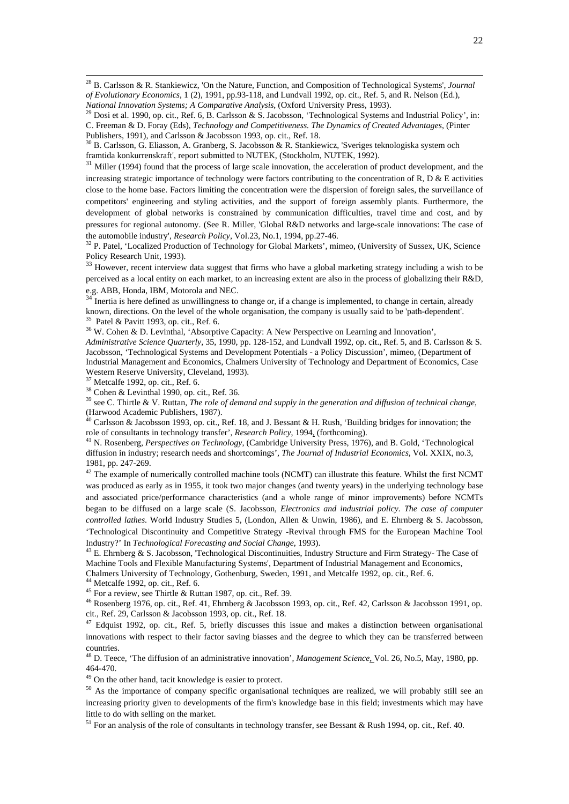28 B. Carlsson & R. Stankiewicz, 'On the Nature, Function, and Composition of Technological Systems', *Journal of Evolutionary Economics*, 1 (2), 1991, pp.93-118, and Lundvall 1992, op. cit., Ref. 5, and R. Nelson (Ed.),

framtida konkurrenskraft', report submitted to NUTEK, (Stockholm, NUTEK, 1992).<br><sup>31</sup> Miller (1994) found that the process of large scale innovation, the acceleration of product development, and the increasing strategic importance of technology were factors contributing to the concentration of R, D  $\&$  E activities close to the home base. Factors limiting the concentration were the dispersion of foreign sales, the surveillance of competitors' engineering and styling activities, and the support of foreign assembly plants. Furthermore, the development of global networks is constrained by communication difficulties, travel time and cost, and by pressures for regional autonomy. (See R. Miller, 'Global R&D networks and large-scale innovations: The case of

the automobile industry', *Research Policy*, Vol.23, No.1, 1994, pp.27-46.<br><sup>32</sup> P. Patel, 'Localized Production of Technology for Global Markets', mimeo, (University of Sussex, UK, Science Policy Research Unit, 1993).

<sup>33</sup> However, recent interview data suggest that firms who have a global marketing strategy including a wish to be perceived as a local entity on each market, to an increasing extent are also in the process of globalizing their R&D, e.g. ABB, Honda, IBM, Motorola and NEC.

Inertia is here defined as unwillingness to change or, if a change is implemented, to change in certain, already known, directions. On the level of the whole organisation, the company is usually said to be 'path-dependent'. <sup>35</sup> Patel & Pavitt 1993, op. cit., Ref. 6.

36 W. Cohen & D. Levinthal, 'Absorptive Capacity: A New Perspective on Learning and Innovation',

*Administrative Science Quarterly*, 35, 1990, pp. 128-152, and Lundvall 1992, op. cit., Ref. 5, and B. Carlsson & S. Jacobsson, 'Technological Systems and Development Potentials - a Policy Discussion', mimeo, (Department of Industrial Management and Economics, Chalmers University of Technology and Department of Economics, Case Western Reserve University, Cleveland, 1993).

37 Metcalfe 1992, op. cit., Ref. 6.

38 Cohen & Levinthal 1990, op. cit., Ref. 36.

39 see C. Thirtle & V. Ruttan, *The role of demand and supply in the generation and diffusion of technical change*,

(Harwood Academic Publishers, 1987).<br><sup>40</sup> Carlsson & Jacobsson 1993, op. cit., Ref. 18, and J. Bessant & H. Rush, 'Building bridges for innovation; the role of consultants in technology transfer', *Research Policy*, 1994,

<sup>41</sup> N. Rosenberg, *Perspectives on Technology*, (Cambridge University Press, 1976), and B. Gold, 'Technological diffusion in industry; research needs and shortcomings'*, The Journal of Industrial Economics*, Vol. XXIX, no.3, 1981, pp. 247-269.

 $42$  The example of numerically controlled machine tools (NCMT) can illustrate this feature. Whilst the first NCMT was produced as early as in 1955, it took two major changes (and twenty years) in the underlying technology base and associated price/performance characteristics (and a whole range of minor improvements) before NCMTs began to be diffused on a large scale (S. Jacobsson*, Electronics and industrial policy. The case of computer controlled lathes*. World Industry Studies 5, (London, Allen & Unwin, 1986), and E. Ehrnberg & S. Jacobsson, 'Technological Discontinuity and Competitive Strategy -Revival through FMS for the European Machine Tool Industry?' In *Technological Forecasting and Social Change*, 1993).<br><sup>43</sup> E. Ehrnberg & S. Jacobsson, 'Technological Discontinuities, Industry Structure and Firm Strategy- The Case of

Machine Tools and Flexible Manufacturing Systems', Department of Industrial Management and Economics, Chalmers University of Technology, Gothenburg, Sweden, 1991, and Metcalfe 1992, op. cit., Ref. 6. 44 Metcalfe 1992, op. cit., Ref. 6.

<sup>45</sup> For a review, see Thirtle & Ruttan 1987, op. cit., Ref. 39.

46 Rosenberg 1976, op. cit., Ref. 41, Ehrnberg & Jacobsson 1993, op. cit., Ref. 42, Carlsson & Jacobsson 1991, op. cit., Ref. 29, Carlsson & Jacobsson 1993, op. cit., Ref. 18. 47 Edquist 1992, op. cit., Ref. 5, briefly discusses this issue and makes a distinction between organisational

innovations with respect to their factor saving biasses and the degree to which they can be transferred between countries.

48 D. Teece, 'The diffusion of an administrative innovation', *Management Science*, Vol. 26, No.5, May, 1980, pp. 464-470.

49 On the other hand, tacit knowledge is easier to protect.

<sup>50</sup> As the importance of company specific organisational techniques are realized, we will probably still see an increasing priority given to developments of the firm's knowledge base in this field; investments which may have little to do with selling on the market.

<sup>51</sup> For an analysis of the role of consultants in technology transfer, see Bessant & Rush 1994, op. cit., Ref. 40.

*National Innovation Systems; A Comparative Analysis*, *Innovative Analysis*, 1993). 29 Dosi et al. 1990, op. cit., Ref. 6, B. Carlsson & S. Jacobsson, 'Technological Systems and Industrial Policy', in: C. Freeman & D. Foray (Eds), *Technology and Competitiveness. The Dynamics of Created Advantages*, (Pinter

 $^{30}$  B. Carlsson, G. Eliasson, A. Granberg, S. Jacobsson & R. Stankiewicz, 'Sveriges teknologiska system och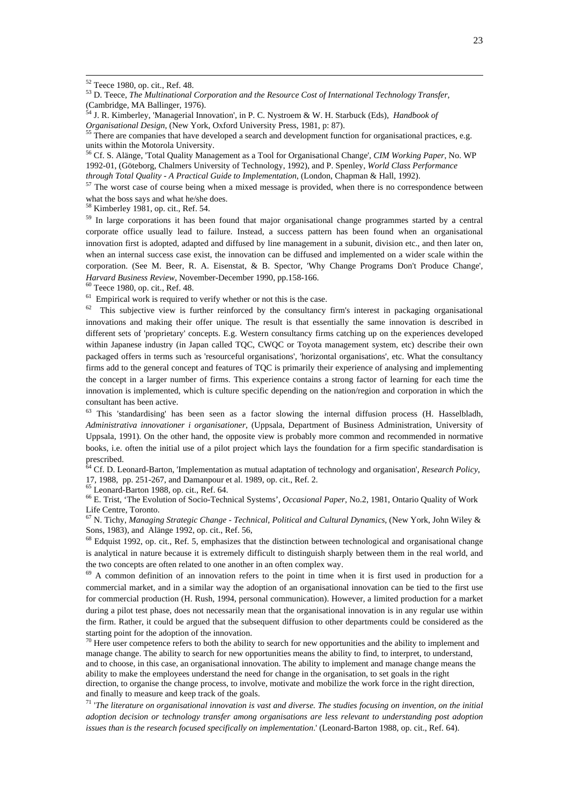54 J. R. Kimberley, 'Managerial Innovation', in P. C. Nystroem & W. H. Starbuck (Eds), *Handbook of Organisational Design*, (New York, Oxford University Press, 1981, p: 87).<br><sup>55</sup> There are companies that have developed a search and development function for organisational practices, e.g.

units within the Motorola University. 56 Cf. S. Alänge, 'Total Quality Management as a Tool for Organisational Change'*, CIM Working Paper*, No. WP

1992-01, (Göteborg, Chalmers University of Technology, 1992), and P. Spenley, *World Class Performance* 

*through Total Quality - A Practical Guide to Implementation*, (London, Chapman & Hall, 1992).<br><sup>57</sup> The worst case of course being when a mixed message is provided, when there is no correspondence between what the boss says and what he/she does.

58 Kimberley 1981, op. cit., Ref. 54.

<sup>59</sup> In large corporations it has been found that major organisational change programmes started by a central corporate office usually lead to failure. Instead, a success pattern has been found when an organisational innovation first is adopted, adapted and diffused by line management in a subunit, division etc., and then later on, when an internal success case exist, the innovation can be diffused and implemented on a wider scale within the corporation. (See M. Beer, R. A. Eisenstat, & B. Spector, 'Why Change Programs Don't Produce Change', *Harvard Business Review*, November-December 1990, pp.158-166.<br><sup>60</sup> Teece 1980, op. cit., Ref. 48.<br><sup>61</sup> Empirical work is required to verify whether or not this is the case.

 $62$  This subjective view is further reinforced by the consultancy firm's interest in packaging organisational innovations and making their offer unique. The result is that essentially the same innovation is described in different sets of 'proprietary' concepts. E.g. Western consultancy firms catching up on the experiences developed within Japanese industry (in Japan called TQC, CWQC or Toyota management system, etc) describe their own packaged offers in terms such as 'resourceful organisations', 'horizontal organisations', etc. What the consultancy firms add to the general concept and features of TQC is primarily their experience of analysing and implementing the concept in a larger number of firms. This experience contains a strong factor of learning for each time the innovation is implemented, which is culture specific depending on the nation/region and corporation in which the consultant has been active.

<sup>63</sup> This 'standardising' has been seen as a factor slowing the internal diffusion process (H. Hasselbladh, *Administrativa innovationer i organisationer*, (Uppsala, Department of Business Administration, University of Uppsala, 1991). On the other hand, the opposite view is probably more common and recommended in normative books, i.e. often the initial use of a pilot project which lays the foundation for a firm specific standardisation is prescribed.

64 Cf. D. Leonard-Barton, 'Implementation as mutual adaptation of technology and organisation', *Research Policy*, 17, 1988, pp. 251-267, and Damanpour et al. 1989, op. cit., Ref. 2. 65 Leonard-Barton 1988, op. cit., Ref. 64.

66 E. Trist, 'The Evolution of Socio-Technical Systems', *Occasional Paper,* No.2, 1981, Ontario Quality of Work Life Centre, Toronto.

67 N. Tichy, *Managing Strategic Change - Technical, Political and Cultural Dynamics*, (New York, John Wiley & Sons, 1983), and Alänge 1992, op. cit., Ref. 56,

<sup>68</sup> Edquist 1992, op. cit., Ref. 5, emphasizes that the distinction between technological and organisational change is analytical in nature because it is extremely difficult to distinguish sharply between them in the real world, and the two concepts are often related to one another in an often complex way.

 $69$  A common definition of an innovation refers to the point in time when it is first used in production for a commercial market, and in a similar way the adoption of an organisational innovation can be tied to the first use for commercial production (H. Rush, 1994, personal communication). However, a limited production for a market during a pilot test phase, does not necessarily mean that the organisational innovation is in any regular use within the firm. Rather, it could be argued that the subsequent diffusion to other departments could be considered as the starting point for the adoption of the innovation.<br> $\frac{70 \text{ H}}{20 \text{ H}}$ 

70 Here user competence refers to both the ability to search for new opportunities and the ability to implement and manage change. The ability to search for new opportunities means the ability to find, to interpret, to understand, and to choose, in this case, an organisational innovation. The ability to implement and manage change means the ability to make the employees understand the need for change in the organisation, to set goals in the right direction, to organise the change process, to involve, motivate and mobilize the work force in the right direction, and finally to measure and keep track of the goals.<br><sup>71</sup> '*The literature on organisational innovation is vast and diverse. The studies focusing on invention, on the initial <sup>71</sup>* 

*adoption decision or technology transfer among organisations are less relevant to understanding post adoption issues than is the research focused specifically on implementation*.' (Leonard-Barton 1988, op. cit., Ref. 64).

 <sup>52</sup> Teece 1980, op. cit., Ref. 48.

<sup>53</sup> D. Teece, *The Multinational Corporation and the Resource Cost of International Technology Transfer*, (Cambridge, MA Ballinger, 1976).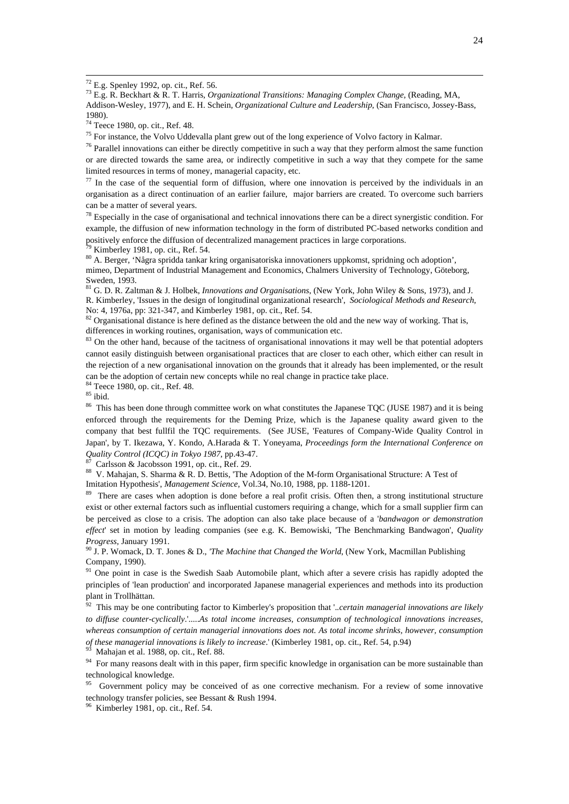72 E.g. Spenley 1992, op. cit., Ref. 56.

73 E.g. R. Beckhart & R. T. Harris*, Organizational Transitions: Managing Complex Change*, (Reading, MA, Addison-Wesley, 1977), and E. H. Schein, *Organizational Culture and Leadership*, (San Francisco, Jossey-Bass, 1980).

74 Teece 1980, op. cit., Ref. 48.

<sup>75</sup> For instance, the Volvo Uddevalla plant grew out of the long experience of Volvo factory in Kalmar.<br><sup>76</sup> Parallel innovations can either be directly competitive in such a way that they perform almost the same functio or are directed towards the same area, or indirectly competitive in such a way that they compete for the same limited resources in terms of money, managerial capacity, etc.<br>
<sup>77</sup> In the case of the sequential form of diffusion, where one innovation is perceived by the individuals in an

organisation as a direct continuation of an earlier failure, major barriers are created. To overcome such barriers can be a matter of several years.

 $<sup>78</sup>$  Especially in the case of organisational and technical innovations there can be a direct synergistic condition. For</sup> example, the diffusion of new information technology in the form of distributed PC-based networks condition and positively enforce the diffusion of decentralized management practices in large corporations.<br><sup>79</sup> Kimberley 1981, op. cit., Ref. 54.

80 A. Berger, 'Några spridda tankar kring organisatoriska innovationers uppkomst, spridning och adoption', mimeo, Department of Industrial Management and Economics, Chalmers University of Technology, Göteborg, Sweden, 1993.

81 G. D. R. Zaltman & J. Holbek, *Innovations and Organisations*, (New York, John Wiley & Sons, 1973), and J. R. Kimberley, 'Issues in the design of longitudinal organizational research', *Sociological Methods and Research*,

 $82$  Organisational distance is here defined as the distance between the old and the new way of working. That is, differences in working routines, organisation, ways of communication etc.

 $83$  On the other hand, because of the tacitness of organisational innovations it may well be that potential adopters cannot easily distinguish between organisational practices that are closer to each other, which either can result in the rejection of a new organisational innovation on the grounds that it already has been implemented, or the result can be the adoption of certain new concepts while no real change in practice take place.

84 Teece 1980, op. cit., Ref. 48.

 $85$  ibid.

<sup>86</sup> This has been done through committee work on what constitutes the Japanese TQC (JUSE 1987) and it is being enforced through the requirements for the Deming Prize, which is the Japanese quality award given to the company that best fullfil the TQC requirements. (See JUSE, 'Features of Company-Wide Quality Control in Japan', by T. Ikezawa, Y. Kondo, A.Harada & T. Yoneyama, *Proceedings form the International Conference on Quality Control (ICQC) in Tokyo 1987*, pp.43-47.<br><sup>87</sup> Carlsson & Jacobsson 1991, op. cit., Ref. 29.

88 V. Mahajan, S. Sharma & R. D. Bettis, 'The Adoption of the M-form Organisational Structure: A Test of Imitation Hypothesis', *Management Science*, Vol.34, No.10, 1988, pp. 1188-1201.<br><sup>89</sup> There are cases when adoption is done before a real profit crisis. Often then, a strong institutional structure

exist or other external factors such as influential customers requiring a change, which for a small supplier firm can be perceived as close to a crisis. The adoption can also take place because of a '*bandwagon or demonstration effect*' set in motion by leading companies (see e.g. K. Bemowiski, 'The Benchmarking Bandwagon', *Quality Progress*, January 1991.<br><sup>90</sup> J. P. Womack, D. T. Jones & D., *'The Machine that Changed the World*, (New York, Macmillan Publishing

Company, 1990).

<sup>91</sup> One point in case is the Swedish Saab Automobile plant, which after a severe crisis has rapidly adopted the principles of 'lean production' and incorporated Japanese managerial experiences and methods into its production plant in Trollhättan.

92 This may be one contributing factor to Kimberley's proposition that '.*.certain managerial innovations are likely to diffuse counter-cyclically*.'.....*As total income increases, consumption of technological innovations increases, whereas consumption of certain managerial innovations does not. As total income shrinks, however, consumption of these managerial innovations is likely to increase.*' (Kimberley 1981, op. cit., Ref. 54, p.94)<br><sup>93</sup> Mahajan et al. 1988, op. cit., Ref. 88.

<sup>94</sup> For many reasons dealt with in this paper, firm specific knowledge in organisation can be more sustainable than technological knowledge.

<sup>95</sup> Government policy may be conceived of as one corrective mechanism. For a review of some innovative technology transfer policies, see Bessant & Rush 1994.

Kimberley 1981, op. cit., Ref. 54.